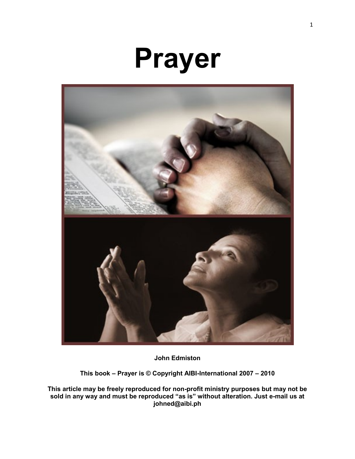# **Prayer**



**John Edmiston**

**This book – Prayer is © Copyright AIBI-International 2007 – 2010**

**This article may be freely reproduced for non-profit ministry purposes but may not be sold in any way and must be reproduced "as is" without alteration. Just e-mail us at johned@aibi.ph**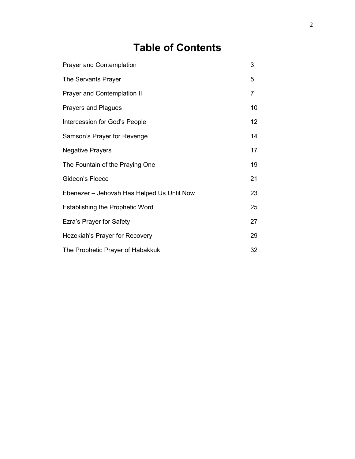# **Table of Contents**

| <b>Prayer and Contemplation</b>            | 3              |
|--------------------------------------------|----------------|
| The Servants Prayer                        | 5              |
| Prayer and Contemplation II                | $\overline{7}$ |
| <b>Prayers and Plagues</b>                 | 10             |
| Intercession for God's People              | 12             |
| Samson's Prayer for Revenge                | 14             |
| <b>Negative Prayers</b>                    | 17             |
| The Fountain of the Praying One            | 19             |
| Gideon's Fleece                            | 21             |
| Ebenezer – Jehovah Has Helped Us Until Now | 23             |
| <b>Establishing the Prophetic Word</b>     | 25             |
| Ezra's Prayer for Safety                   | 27             |
| Hezekiah's Prayer for Recovery             | 29             |
| The Prophetic Prayer of Habakkuk           | 32             |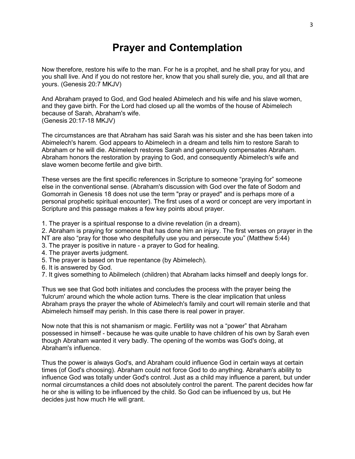# **Prayer and Contemplation**

Now therefore, restore his wife to the man. For he is a prophet, and he shall pray for you, and you shall live. And if you do not restore her, know that you shall surely die, you, and all that are yours. (Genesis 20:7 MKJV)

And Abraham prayed to God, and God healed Abimelech and his wife and his slave women, and they gave birth. For the Lord had closed up all the wombs of the house of Abimelech because of Sarah, Abraham's wife. (Genesis 20:17-18 MKJV)

The circumstances are that Abraham has said Sarah was his sister and she has been taken into Abimelech's harem. God appears to Abimelech in a dream and tells him to restore Sarah to Abraham or he will die. Abimelech restores Sarah and generously compensates Abraham. Abraham honors the restoration by praying to God, and consequently Abimelech's wife and slave women become fertile and give birth.

These verses are the first specific references in Scripture to someone "praying for" someone else in the conventional sense. (Abraham's discussion with God over the fate of Sodom and Gomorrah in Genesis 18 does not use the term "pray or prayed" and is perhaps more of a personal prophetic spiritual encounter). The first uses of a word or concept are very important in Scripture and this passage makes a few key points about prayer.

1. The prayer is a spiritual response to a divine revelation (in a dream).

2. Abraham is praying for someone that has done him an injury. The first verses on prayer in the NT are also "pray for those who despitefully use you and persecute you" (Matthew 5:44)

- 3. The prayer is positive in nature a prayer to God for healing.
- 4. The prayer averts judgment.
- 5. The prayer is based on true repentance (by Abimelech).
- 6. It is answered by God.
- 7. It gives something to Abilmelech (children) that Abraham lacks himself and deeply longs for.

Thus we see that God both initiates and concludes the process with the prayer being the 'fulcrum' around which the whole action turns. There is the clear implication that unless Abraham prays the prayer the whole of Abimelech's family and court will remain sterile and that Abimelech himself may perish. In this case there is real power in prayer.

Now note that this is not shamanism or magic. Fertility was not a "power" that Abraham possessed in himself - because he was quite unable to have children of his own by Sarah even though Abraham wanted it very badly. The opening of the wombs was God's doing, at Abraham's influence.

Thus the power is always God's, and Abraham could influence God in certain ways at certain times (of God's choosing). Abraham could not force God to do anything. Abraham's ability to influence God was totally under God's control. Just as a child may influence a parent, but under normal circumstances a child does not absolutely control the parent. The parent decides how far he or she is willing to be influenced by the child. So God can be influenced by us, but He decides just how much He will grant.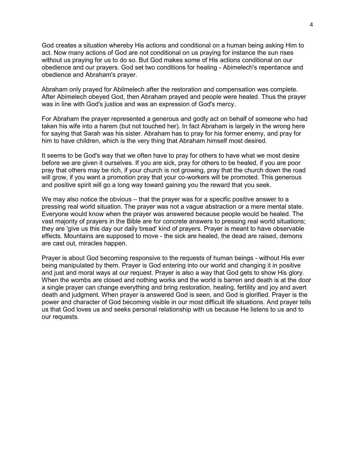God creates a situation whereby His actions and conditional on a human being asking Him to act. Now many actions of God are not conditional on us praying for instance the sun rises without us praying for us to do so. But God makes some of His actions conditional on our obedience and our prayers. God set two conditions for healing - Abimelech's repentance and obedience and Abraham's prayer.

Abraham only prayed for Abilmelech after the restoration and compensation was complete. After Abimelech obeyed God, then Abraham prayed and people were healed. Thus the prayer was in line with God's justice and was an expression of God's mercy.

For Abraham the prayer represented a generous and godly act on behalf of someone who had taken his wife into a harem (but not touched her). In fact Abraham is largely in the wrong here for saying that Sarah was his sister. Abraham has to pray for his former enemy, and pray for him to have children, which is the very thing that Abraham himself most desired.

It seems to be God's way that we often have to pray for others to have what we most desire before we are given it ourselves. If you are sick, pray for others to be healed, if you are poor pray that others may be rich, if your church is not growing, pray that the church down the road will grow, if you want a promotion pray that your co-workers will be promoted. This generous and positive spirit will go a long way toward gaining you the reward that you seek.

We may also notice the obvious – that the prayer was for a specific positive answer to a pressing real world situation. The prayer was not a vague abstraction or a mere mental state. Everyone would know when the prayer was answered because people would be healed. The vast majority of prayers in the Bible are for concrete answers to pressing real world situations; they are 'give us this day our daily bread' kind of prayers. Prayer is meant to have observable effects. Mountains are supposed to move - the sick are healed, the dead are raised, demons are cast out, miracles happen.

Prayer is about God becoming responsive to the requests of human beings - without His ever being manipulated by them. Prayer is God entering into our world and changing it in positive and just and moral ways at our request. Prayer is also a way that God gets to show His glory. When the wombs are closed and nothing works and the world is barren and death is at the door a single prayer can change everything and bring restoration, healing, fertility and joy and avert death and judgment. When prayer is answered God is seen, and God is glorified. Prayer is the power and character of God becoming visible in our most difficult life situations. And prayer tells us that God loves us and seeks personal relationship with us because He listens to us and to our requests.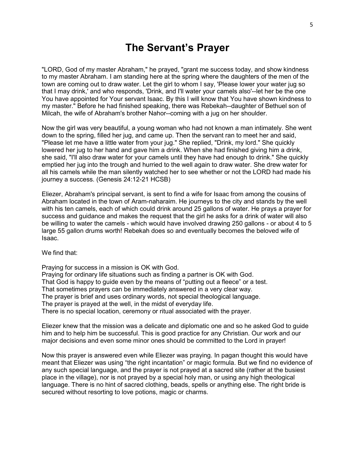#### **The Servant's Prayer**

"LORD, God of my master Abraham," he prayed, "grant me success today, and show kindness to my master Abraham. I am standing here at the spring where the daughters of the men of the town are coming out to draw water. Let the girl to whom I say, 'Please lower your water jug so that I may drink,' and who responds, 'Drink, and I'll water your camels also'--let her be the one You have appointed for Your servant Isaac. By this I will know that You have shown kindness to my master." Before he had finished speaking, there was Rebekah--daughter of Bethuel son of Milcah, the wife of Abraham's brother Nahor--coming with a jug on her shoulder.

Now the girl was very beautiful, a young woman who had not known a man intimately. She went down to the spring, filled her jug, and came up. Then the servant ran to meet her and said, "Please let me have a little water from your jug." She replied, "Drink, my lord." She quickly lowered her jug to her hand and gave him a drink. When she had finished giving him a drink, she said, "I'll also draw water for your camels until they have had enough to drink." She quickly emptied her jug into the trough and hurried to the well again to draw water. She drew water for all his camels while the man silently watched her to see whether or not the LORD had made his journey a success. (Genesis 24:12-21 HCSB)

Eliezer, Abraham's principal servant, is sent to find a wife for Isaac from among the cousins of Abraham located in the town of Aram-naharaim. He journeys to the city and stands by the well with his ten camels, each of which could drink around 25 gallons of water. He prays a prayer for success and guidance and makes the request that the girl he asks for a drink of water will also be willing to water the camels - which would have involved drawing 250 gallons - or about 4 to 5 large 55 gallon drums worth! Rebekah does so and eventually becomes the beloved wife of Isaac.

We find that:

Praying for success in a mission is OK with God. Praying for ordinary life situations such as finding a partner is OK with God. That God is happy to guide even by the means of "putting out a fleece" or a test. That sometimes prayers can be immediately answered in a very clear way. The prayer is brief and uses ordinary words, not special theological language. The prayer is prayed at the well, in the midst of everyday life. There is no special location, ceremony or ritual associated with the prayer.

Eliezer knew that the mission was a delicate and diplomatic one and so he asked God to guide him and to help him be successful. This is good practice for any Christian. Our work and our major decisions and even some minor ones should be committed to the Lord in prayer!

Now this prayer is answered even while Eliezer was praying. In pagan thought this would have meant that Eliezer was using "the right incantation" or magic formula. But we find no evidence of any such special language, and the prayer is not prayed at a sacred site (rather at the busiest place in the village), nor is not prayed by a special holy man, or using any high theological language. There is no hint of sacred clothing, beads, spells or anything else. The right bride is secured without resorting to love potions, magic or charms.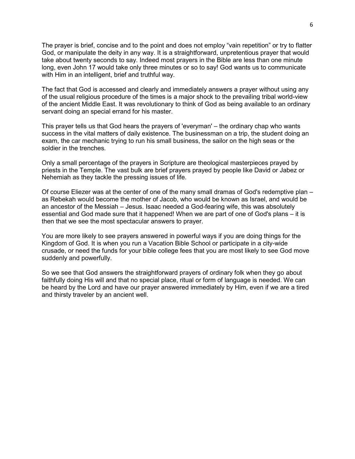The prayer is brief, concise and to the point and does not employ "vain repetition" or try to flatter God, or manipulate the deity in any way. It is a straightforward, unpretentious prayer that would take about twenty seconds to say. Indeed most prayers in the Bible are less than one minute long, even John 17 would take only three minutes or so to say! God wants us to communicate with Him in an intelligent, brief and truthful way.

The fact that God is accessed and clearly and immediately answers a prayer without using any of the usual religious procedure of the times is a major shock to the prevailing tribal world-view of the ancient Middle East. It was revolutionary to think of God as being available to an ordinary servant doing an special errand for his master.

This prayer tells us that God hears the prayers of 'everyman' – the ordinary chap who wants success in the vital matters of daily existence. The businessman on a trip, the student doing an exam, the car mechanic trying to run his small business, the sailor on the high seas or the soldier in the trenches.

Only a small percentage of the prayers in Scripture are theological masterpieces prayed by priests in the Temple. The vast bulk are brief prayers prayed by people like David or Jabez or Nehemiah as they tackle the pressing issues of life.

Of course Eliezer was at the center of one of the many small dramas of God's redemptive plan – as Rebekah would become the mother of Jacob, who would be known as Israel, and would be an ancestor of the Messiah – Jesus. Isaac needed a God-fearing wife, this was absolutely essential and God made sure that it happened! When we are part of one of God's plans – it is then that we see the most spectacular answers to prayer.

You are more likely to see prayers answered in powerful ways if you are doing things for the Kingdom of God. It is when you run a Vacation Bible School or participate in a city-wide crusade, or need the funds for your bible college fees that you are most likely to see God move suddenly and powerfully.

So we see that God answers the straightforward prayers of ordinary folk when they go about faithfully doing His will and that no special place, ritual or form of language is needed. We can be heard by the Lord and have our prayer answered immediately by Him, even if we are a tired and thirsty traveler by an ancient well.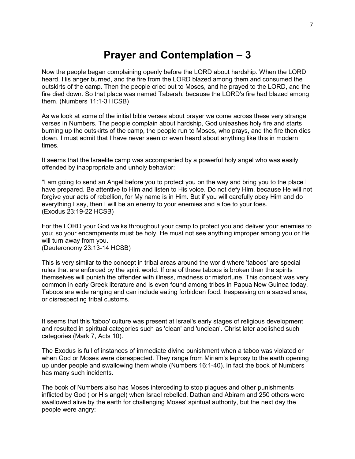# **Prayer and Contemplation – 3**

Now the people began complaining openly before the LORD about hardship. When the LORD heard, His anger burned, and the fire from the LORD blazed among them and consumed the outskirts of the camp. Then the people cried out to Moses, and he prayed to the LORD, and the fire died down. So that place was named Taberah, because the LORD's fire had blazed among them. (Numbers 11:1-3 HCSB)

As we look at some of the initial bible verses about prayer we come across these very strange verses in Numbers. The people complain about hardship, God unleashes holy fire and starts burning up the outskirts of the camp, the people run to Moses, who prays, and the fire then dies down. I must admit that I have never seen or even heard about anything like this in modern times.

It seems that the Israelite camp was accompanied by a powerful holy angel who was easily offended by inappropriate and unholy behavior:

"I am going to send an Angel before you to protect you on the way and bring you to the place I have prepared. Be attentive to Him and listen to His voice. Do not defy Him, because He will not forgive your acts of rebellion, for My name is in Him. But if you will carefully obey Him and do everything I say, then I will be an enemy to your enemies and a foe to your foes. (Exodus 23:19-22 HCSB)

For the LORD your God walks throughout your camp to protect you and deliver your enemies to you; so your encampments must be holy. He must not see anything improper among you or He will turn away from you. (Deuteronomy 23:13-14 HCSB)

This is very similar to the concept in tribal areas around the world where 'taboos' are special rules that are enforced by the spirit world. If one of these taboos is broken then the spirits themselves will punish the offender with illness, madness or misfortune. This concept was very common in early Greek literature and is even found among tribes in Papua New Guinea today. Taboos are wide ranging and can include eating forbidden food, trespassing on a sacred area, or disrespecting tribal customs.

It seems that this 'taboo' culture was present at Israel's early stages of religious development and resulted in spiritual categories such as 'clean' and 'unclean'. Christ later abolished such categories (Mark 7, Acts 10).

The Exodus is full of instances of immediate divine punishment when a taboo was violated or when God or Moses were disrespected. They range from Miriam's leprosy to the earth opening up under people and swallowing them whole (Numbers 16:1-40). In fact the book of Numbers has many such incidents.

The book of Numbers also has Moses interceding to stop plagues and other punishments inflicted by God ( or His angel) when Israel rebelled. Dathan and Abiram and 250 others were swallowed alive by the earth for challenging Moses' spiritual authority, but the next day the people were angry: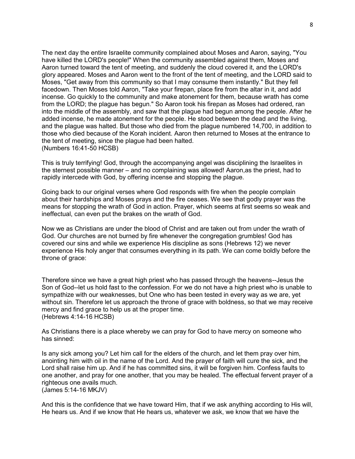The next day the entire Israelite community complained about Moses and Aaron, saying, "You have killed the LORD's people!" When the community assembled against them, Moses and Aaron turned toward the tent of meeting, and suddenly the cloud covered it, and the LORD's glory appeared. Moses and Aaron went to the front of the tent of meeting, and the LORD said to Moses, "Get away from this community so that I may consume them instantly." But they fell facedown. Then Moses told Aaron, "Take your firepan, place fire from the altar in it, and add incense. Go quickly to the community and make atonement for them, because wrath has come from the LORD; the plague has begun." So Aaron took his firepan as Moses had ordered, ran into the middle of the assembly, and saw that the plague had begun among the people. After he added incense, he made atonement for the people. He stood between the dead and the living, and the plague was halted. But those who died from the plague numbered 14,700, in addition to those who died because of the Korah incident. Aaron then returned to Moses at the entrance to the tent of meeting, since the plague had been halted. (Numbers 16:41-50 HCSB)

This is truly terrifying! God, through the accompanying angel was disciplining the Israelites in the sternest possible manner – and no complaining was allowed! Aaron,as the priest, had to rapidly intercede with God, by offering incense and stopping the plague.

Going back to our original verses where God responds with fire when the people complain about their hardships and Moses prays and the fire ceases. We see that godly prayer was the means for stopping the wrath of God in action. Prayer, which seems at first seems so weak and ineffectual, can even put the brakes on the wrath of God.

Now we as Christians are under the blood of Christ and are taken out from under the wrath of God. Our churches are not burned by fire whenever the congregation grumbles! God has covered our sins and while we experience His discipline as sons (Hebrews 12) we never experience His holy anger that consumes everything in its path. We can come boldly before the throne of grace:

Therefore since we have a great high priest who has passed through the heavens--Jesus the Son of God--let us hold fast to the confession. For we do not have a high priest who is unable to sympathize with our weaknesses, but One who has been tested in every way as we are, yet without sin. Therefore let us approach the throne of grace with boldness, so that we may receive mercy and find grace to help us at the proper time. (Hebrews 4:14-16 HCSB)

As Christians there is a place whereby we can pray for God to have mercy on someone who has sinned:

Is any sick among you? Let him call for the elders of the church, and let them pray over him, anointing him with oil in the name of the Lord. And the prayer of faith will cure the sick, and the Lord shall raise him up. And if he has committed sins, it will be forgiven him. Confess faults to one another, and pray for one another, that you may be healed. The effectual fervent prayer of a righteous one avails much. (James 5:14-16 MKJV)

And this is the confidence that we have toward Him, that if we ask anything according to His will, He hears us. And if we know that He hears us, whatever we ask, we know that we have the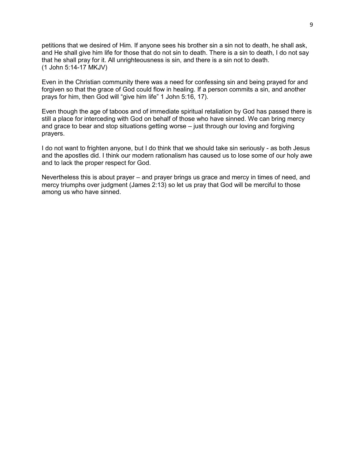petitions that we desired of Him. If anyone sees his brother sin a sin not to death, he shall ask, and He shall give him life for those that do not sin to death. There is a sin to death, I do not say that he shall pray for it. All unrighteousness is sin, and there is a sin not to death. (1 John 5:14-17 MKJV)

Even in the Christian community there was a need for confessing sin and being prayed for and forgiven so that the grace of God could flow in healing. If a person commits a sin, and another prays for him, then God will "give him life" 1 John 5:16, 17).

Even though the age of taboos and of immediate spiritual retaliation by God has passed there is still a place for interceding with God on behalf of those who have sinned. We can bring mercy and grace to bear and stop situations getting worse – just through our loving and forgiving prayers.

I do not want to frighten anyone, but I do think that we should take sin seriously - as both Jesus and the apostles did. I think our modern rationalism has caused us to lose some of our holy awe and to lack the proper respect for God.

Nevertheless this is about prayer – and prayer brings us grace and mercy in times of need, and mercy triumphs over judgment (James 2:13) so let us pray that God will be merciful to those among us who have sinned.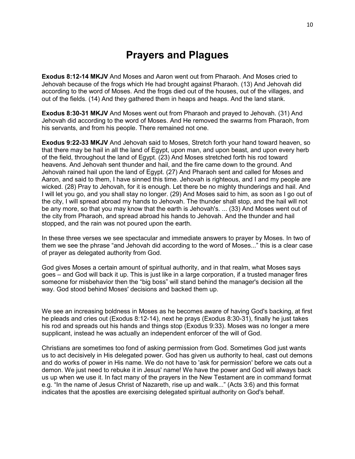# **Prayers and Plagues**

**Exodus 8:12-14 MKJV** And Moses and Aaron went out from Pharaoh. And Moses cried to Jehovah because of the frogs which He had brought against Pharaoh. (13) And Jehovah did according to the word of Moses. And the frogs died out of the houses, out of the villages, and out of the fields. (14) And they gathered them in heaps and heaps. And the land stank.

**Exodus 8:30-31 MKJV** And Moses went out from Pharaoh and prayed to Jehovah. (31) And Jehovah did according to the word of Moses. And He removed the swarms from Pharaoh, from his servants, and from his people. There remained not one.

**Exodus 9:22-33 MKJV** And Jehovah said to Moses, Stretch forth your hand toward heaven, so that there may be hail in all the land of Egypt, upon man, and upon beast, and upon every herb of the field, throughout the land of Egypt. (23) And Moses stretched forth his rod toward heavens. And Jehovah sent thunder and hail, and the fire came down to the ground. And Jehovah rained hail upon the land of Egypt. (27) And Pharaoh sent and called for Moses and Aaron, and said to them, I have sinned this time. Jehovah is righteous, and I and my people are wicked. (28) Pray to Jehovah, for it is enough. Let there be no mighty thunderings and hail. And I will let you go, and you shall stay no longer. (29) And Moses said to him, as soon as I go out of the city, I will spread abroad my hands to Jehovah. The thunder shall stop, and the hail will not be any more, so that you may know that the earth is Jehovah's. ... (33) And Moses went out of the city from Pharaoh, and spread abroad his hands to Jehovah. And the thunder and hail stopped, and the rain was not poured upon the earth.

In these three verses we see spectacular and immediate answers to prayer by Moses. In two of them we see the phrase "and Jehovah did according to the word of Moses..." this is a clear case of prayer as delegated authority from God.

God gives Moses a certain amount of spiritual authority, and in that realm, what Moses says goes – and God will back it up. This is just like in a large corporation, if a trusted manager fires someone for misbehavior then the "big boss" will stand behind the manager's decision all the way. God stood behind Moses' decisions and backed them up.

We see an increasing boldness in Moses as he becomes aware of having God's backing, at first he pleads and cries out (Exodus 8:12-14), next he prays (Exodus 8:30-31), finally he just takes his rod and spreads out his hands and things stop (Exodus 9:33). Moses was no longer a mere supplicant, instead he was actually an independent enforcer of the will of God.

Christians are sometimes too fond of asking permission from God. Sometimes God just wants us to act decisively in His delegated power. God has given us authority to heal, cast out demons and do works of power in His name. We do not have to 'ask for permission' before we cats out a demon. We just need to rebuke it in Jesus' name! We have the power and God will always back us up when we use it. In fact many of the prayers in the New Testament are in command format e.g. "In the name of Jesus Christ of Nazareth, rise up and walk..." (Acts 3:6) and this format indicates that the apostles are exercising delegated spiritual authority on God's behalf.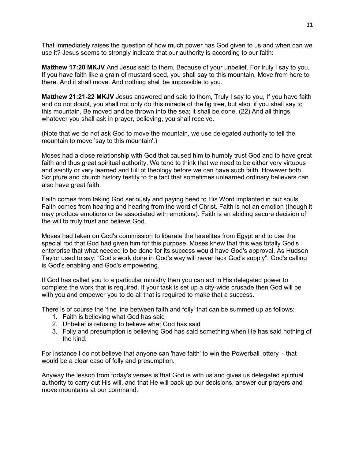That immediately raises the question of how much power has God given to us and when can we use it? Jesus seems to strongly indicate that our authority is according to our faith:

**Matthew 17:20 MKJV** And Jesus said to them, Because of your unbelief. For truly I say to you, If you have faith like a grain of mustard seed, you shall say to this mountain, Move from here to there. And it shall move. And nothing shall be impossible to you.

**Matthew 21:21-22 MKJV** Jesus answered and said to them, Truly I say to you, If you have faith and do not doubt, you shall not only do this miracle of the fig tree, but also; if you shall say to this mountain, Be moved and be thrown into the sea; it shall be done. (22) And all things, whatever you shall ask in prayer, believing, you shall receive.

(Note that we do not ask God to move the mountain, we use delegated authority to tell the mountain to move 'say to this mountain'.)

Moses had a close relationship with God that caused him to humbly trust God and to have great faith and thus great spiritual authority. We tend to think that we need to be either very virtuous and saintly or very learned and full of theology before we can have such faith. However both Scripture and church history testify to the fact that sometimes unlearned ordinary believers can also have great faith.

Faith comes from taking God seriously and paying heed to His Word implanted in our souls. Faith comes from hearing and hearing from the word of Christ. Faith is not an emotion (though it may produce emotions or be associated with emotions). Faith is an abiding secure decision of the will to truly trust and believe God.

Moses had taken on God's commission to liberate the Israelites from Egypt and to use the special rod that God had given him for this purpose. Moses knew that this was totally God's enterprise that what needed to be done for its success would have God's approval. As Hudson Taylor used to say: "God's work done in God's way will never lack God's supply". God's calling is God's enabling and God's empowering.

If God has called you to a particular ministry then you can act in His delegated power to complete the work that is required. If your task is set up a city-wide crusade then God will be with you and empower you to do all that is required to make that a success.

There is of course the 'fine line between faith and folly' that can be summed up as follows:

- 1. Faith is believing what God has said
- 2. Unbelief is refusing to believe what God has said
- 3. Folly and presumption is believing God has said something when He has said nothing of the kind.

For instance I do not believe that anyone can 'have faith' to win the Powerball lottery – that would be a clear case of folly and presumption.

Anyway the lesson from today's verses is that God is with us and gives us delegated spiritual authority to carry out His will, and that He will back up our decisions, answer our prayers and move mountains at our command.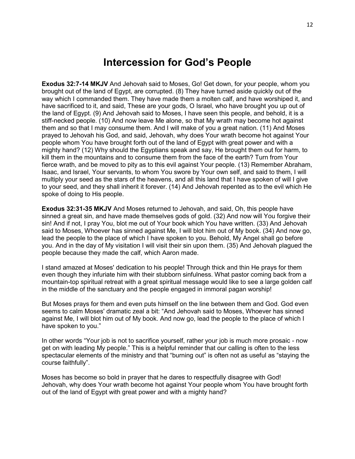#### **Intercession for God's People**

**Exodus 32:7-14 MKJV** And Jehovah said to Moses, Go! Get down, for your people, whom you brought out of the land of Egypt, are corrupted. (8) They have turned aside quickly out of the way which I commanded them. They have made them a molten calf, and have worshiped it, and have sacrificed to it, and said, These are your gods, O Israel, who have brought you up out of the land of Egypt. (9) And Jehovah said to Moses, I have seen this people, and behold, it is a stiff-necked people. (10) And now leave Me alone, so that My wrath may become hot against them and so that I may consume them. And I will make of you a great nation. (11) And Moses prayed to Jehovah his God, and said, Jehovah, why does Your wrath become hot against Your people whom You have brought forth out of the land of Egypt with great power and with a mighty hand? (12) Why should the Egyptians speak and say, He brought them out for harm, to kill them in the mountains and to consume them from the face of the earth? Turn from Your fierce wrath, and be moved to pity as to this evil against Your people. (13) Remember Abraham, Isaac, and Israel, Your servants, to whom You swore by Your own self, and said to them, I will multiply your seed as the stars of the heavens, and all this land that I have spoken of will I give to your seed, and they shall inherit it forever. (14) And Jehovah repented as to the evil which He spoke of doing to His people.

**Exodus 32:31-35 MKJV** And Moses returned to Jehovah, and said, Oh, this people have sinned a great sin, and have made themselves gods of gold. (32) And now will You forgive their sin! And if not, I pray You, blot me out of Your book which You have written. (33) And Jehovah said to Moses, Whoever has sinned against Me, I will blot him out of My book. (34) And now go, lead the people to the place of which I have spoken to you. Behold, My Angel shall go before you. And in the day of My visitation I will visit their sin upon them. (35) And Jehovah plagued the people because they made the calf, which Aaron made.

I stand amazed at Moses' dedication to his people! Through thick and thin He prays for them even though they infuriate him with their stubborn sinfulness. What pastor coming back from a mountain-top spiritual retreat with a great spiritual message would like to see a large golden calf in the middle of the sanctuary and the people engaged in immoral pagan worship!

But Moses prays for them and even puts himself on the line between them and God. God even seems to calm Moses' dramatic zeal a bit: "And Jehovah said to Moses, Whoever has sinned against Me, I will blot him out of My book. And now go, lead the people to the place of which I have spoken to you."

In other words "Your job is not to sacrifice yourself, rather your job is much more prosaic - now get on with leading My people." This is a helpful reminder that our calling is often to the less spectacular elements of the ministry and that "burning out" is often not as useful as "staying the course faithfully".

Moses has become so bold in prayer that he dares to respectfully disagree with God! Jehovah, why does Your wrath become hot against Your people whom You have brought forth out of the land of Egypt with great power and with a mighty hand?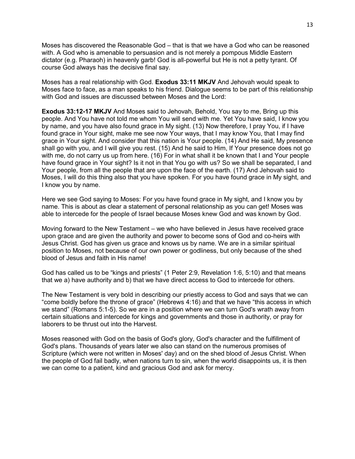Moses has discovered the Reasonable God – that is that we have a God who can be reasoned with. A God who is amenable to persuasion and is not merely a pompous Middle Eastern dictator (e.g. Pharaoh) in heavenly garb! God is all-powerful but He is not a petty tyrant. Of course God always has the decisive final say.

Moses has a real relationship with God. **Exodus 33:11 MKJV** And Jehovah would speak to Moses face to face, as a man speaks to his friend. Dialogue seems to be part of this relationship with God and issues are discussed between Moses and the Lord:

**Exodus 33:12-17 MKJV** And Moses said to Jehovah, Behold, You say to me, Bring up this people. And You have not told me whom You will send with me. Yet You have said, I know you by name, and you have also found grace in My sight. (13) Now therefore, I pray You, if I have found grace in Your sight, make me see now Your ways, that I may know You, that I may find grace in Your sight. And consider that this nation is Your people. (14) And He said, My presence shall go with you, and I will give you rest. (15) And he said to Him, If Your presence does not go with me, do not carry us up from here. (16) For in what shall it be known that I and Your people have found grace in Your sight? Is it not in that You go with us? So we shall be separated, I and Your people, from all the people that are upon the face of the earth. (17) And Jehovah said to Moses, I will do this thing also that you have spoken. For you have found grace in My sight, and I know you by name.

Here we see God saying to Moses: For you have found grace in My sight, and I know you by name. This is about as clear a statement of personal relationship as you can get! Moses was able to intercede for the people of Israel because Moses knew God and was known by God.

Moving forward to the New Testament – we who have believed in Jesus have received grace upon grace and are given the authority and power to become sons of God and co-heirs with Jesus Christ. God has given us grace and knows us by name. We are in a similar spiritual position to Moses, not because of our own power or godliness, but only because of the shed blood of Jesus and faith in His name!

God has called us to be "kings and priests" (1 Peter 2:9, Revelation 1:6, 5:10) and that means that we a) have authority and b) that we have direct access to God to intercede for others.

The New Testament is very bold in describing our priestly access to God and says that we can "come boldly before the throne of grace" (Hebrews 4:16) and that we have "this access in which we stand" (Romans 5:1-5). So we are in a position where we can turn God's wrath away from certain situations and intercede for kings and governments and those in authority, or pray for laborers to be thrust out into the Harvest.

Moses reasoned with God on the basis of God's glory, God's character and the fulfillment of God's plans. Thousands of years later we also can stand on the numerous promises of Scripture (which were not written in Moses' day) and on the shed blood of Jesus Christ. When the people of God fail badly, when nations turn to sin, when the world disappoints us, it is then we can come to a patient, kind and gracious God and ask for mercy.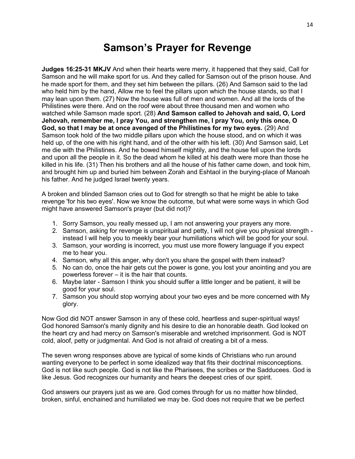# **Samson's Prayer for Revenge**

**Judges 16:25-31 MKJV** And when their hearts were merry, it happened that they said, Call for Samson and he will make sport for us. And they called for Samson out of the prison house. And he made sport for them, and they set him between the pillars. (26) And Samson said to the lad who held him by the hand, Allow me to feel the pillars upon which the house stands, so that I may lean upon them. (27) Now the house was full of men and women. And all the lords of the Philistines were there. And on the roof were about three thousand men and women who watched while Samson made sport. (28) **And Samson called to Jehovah and said, O, Lord Jehovah, remember me, I pray You, and strengthen me, I pray You, only this once, O God, so that I may be at once avenged of the Philistines for my two eyes.** (29) And Samson took hold of the two middle pillars upon which the house stood, and on which it was held up, of the one with his right hand, and of the other with his left. (30) And Samson said, Let me die with the Philistines. And he bowed himself mightily, and the house fell upon the lords and upon all the people in it. So the dead whom he killed at his death were more than those he killed in his life. (31) Then his brothers and all the house of his father came down, and took him, and brought him up and buried him between Zorah and Eshtaol in the burying-place of Manoah his father. And he judged Israel twenty years.

A broken and blinded Samson cries out to God for strength so that he might be able to take revenge 'for his two eyes'. Now we know the outcome, but what were some ways in which God might have answered Samson's prayer (but did not)?

- 1. Sorry Samson, you really messed up, I am not answering your prayers any more.
- 2. Samson, asking for revenge is unspiritual and petty, I will not give you physical strength instead I will help you to meekly bear your humiliations which will be good for your soul.
- 3. Samson, your wording is incorrect, you must use more flowery language if you expect me to hear you.
- 4. Samson, why all this anger, why don't you share the gospel with them instead?
- 5. No can do, once the hair gets cut the power is gone, you lost your anointing and you are powerless forever – it is the hair that counts.
- 6. Maybe later Samson I think you should suffer a little longer and be patient, it will be good for your soul.
- 7. Samson you should stop worrying about your two eyes and be more concerned with My glory.

Now God did NOT answer Samson in any of these cold, heartless and super-spiritual ways! God honored Samson's manly dignity and his desire to die an honorable death. God looked on the heart cry and had mercy on Samson's miserable and wretched imprisonment. God is NOT cold, aloof, petty or judgmental. And God is not afraid of creating a bit of a mess.

The seven wrong responses above are typical of some kinds of Christians who run around wanting everyone to be perfect in some idealized way that fits their doctrinal misconceptions. God is not like such people. God is not like the Pharisees, the scribes or the Sadducees. God is like Jesus. God recognizes our humanity and hears the deepest cries of our spirit.

God answers our prayers just as we are. God comes through for us no matter how blinded, broken, sinful, enchained and humiliated we may be. God does not require that we be perfect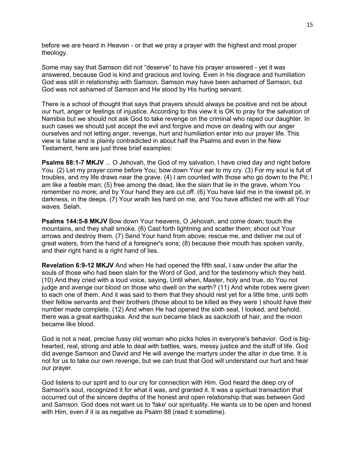before we are heard in Heaven - or that we pray a prayer with the highest and most proper theology.

Some may say that Samson did not "deserve" to have his prayer answered - yet it was answered, because God is kind and gracious and loving. Even in his disgrace and humiliation God was still in relationship with Samson. Samson may have been ashamed of Samson, but God was not ashamed of Samson and He stood by His hurting servant.

There is a school of thought that says that prayers should always be positive and not be about our hurt, anger or feelings of injustice. According to this view it is OK to pray for the salvation of Namibia but we should not ask God to take revenge on the criminal who raped our daughter. In such cases we should just accept the evil and forgive and move on dealing with our anger ourselves and not letting anger, revenge, hurt and humiliation enter into our prayer life. This view is false and is plainly contradicted in about half the Psalms and even in the New Testament, here are just three brief examples:

**Psalms 88:1-7 MKJV** ... O Jehovah, the God of my salvation, I have cried day and night before You. (2) Let my prayer come before You; bow down Your ear to my cry. (3) For my soul is full of troubles, and my life draws near the grave. (4) I am counted with those who go down to the Pit; I am like a feeble man; (5) free among the dead, like the slain that lie in the grave, whom You remember no more; and by Your hand they are cut off. (6) You have laid me in the lowest pit, in darkness, in the deeps. (7) Your wrath lies hard on me, and You have afflicted me with all Your waves. Selah.

**Psalms 144:5-8 MKJV** Bow down Your heavens, O Jehovah, and come down; touch the mountains, and they shall smoke. (6) Cast forth lightning and scatter them; shoot out Your arrows and destroy them. (7) Send Your hand from above; rescue me, and deliver me out of great waters, from the hand of a foreigner's sons; (8) because their mouth has spoken vanity, and their right hand is a right hand of lies.

**Revelation 6:9-12 MKJV** And when He had opened the fifth seal, I saw under the altar the souls of those who had been slain for the Word of God, and for the testimony which they held. (10) And they cried with a loud voice, saying, Until when, Master, holy and true, do You not judge and avenge our blood on those who dwell on the earth? (11) And white robes were given to each one of them. And it was said to them that they should rest yet for a little time, until both their fellow servants and their brothers (those about to be killed as they were ) should have their number made complete. (12) And when He had opened the sixth seal, I looked, and behold, there was a great earthquake. And the sun became black as sackcloth of hair, and the moon became like blood.

God is not a neat, precise fussy old woman who picks holes in everyone's behavior. God is bighearted, real, strong and able to deal with battles, wars, messy justice and the stuff of life. God did avenge Samson and David and He will avenge the martyrs under the altar in due time. It is not for us to take our own revenge, but we can trust that God will understand our hurt and hear our prayer.

God listens to our spirit and to our cry for connection with Him. God heard the deep cry of Samson's soul, recognized it for what it was, and granted it. It was a spiritual transaction that occurred out of the sincere depths of the honest and open relationship that was between God and Samson. God does not want us to 'fake' our spirituality. He wants us to be open and honest with Him, even if it is as negative as Psalm 88 (read it sometime).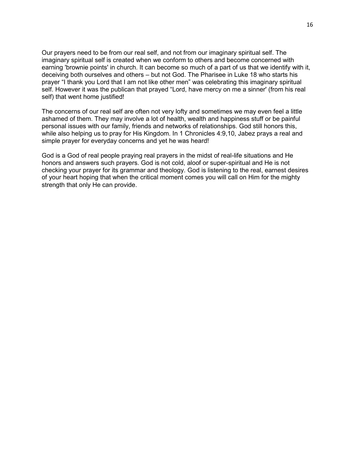Our prayers need to be from our real self, and not from our imaginary spiritual self. The imaginary spiritual self is created when we conform to others and become concerned with earning 'brownie points' in church. It can become so much of a part of us that we identify with it, deceiving both ourselves and others – but not God. The Pharisee in Luke 18 who starts his prayer "I thank you Lord that I am not like other men" was celebrating this imaginary spiritual self. However it was the publican that prayed "Lord, have mercy on me a sinner' (from his real self) that went home justified!

The concerns of our real self are often not very lofty and sometimes we may even feel a little ashamed of them. They may involve a lot of health, wealth and happiness stuff or be painful personal issues with our family, friends and networks of relationships. God still honors this, while also helping us to pray for His Kingdom. In 1 Chronicles 4:9,10, Jabez prays a real and simple prayer for everyday concerns and yet he was heard!

God is a God of real people praying real prayers in the midst of real-life situations and He honors and answers such prayers. God is not cold, aloof or super-spiritual and He is not checking your prayer for its grammar and theology. God is listening to the real, earnest desires of your heart hoping that when the critical moment comes you will call on Him for the mighty strength that only He can provide.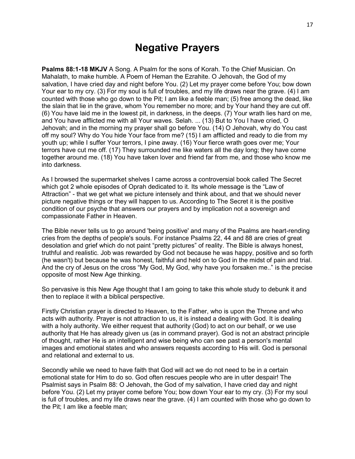### **Negative Prayers**

**Psalms 88:1-18 MKJV** A Song. A Psalm for the sons of Korah. To the Chief Musician. On Mahalath, to make humble. A Poem of Heman the Ezrahite. O Jehovah, the God of my salvation, I have cried day and night before You. (2) Let my prayer come before You; bow down Your ear to my cry. (3) For my soul is full of troubles, and my life draws near the grave. (4) I am counted with those who go down to the Pit; I am like a feeble man; (5) free among the dead, like the slain that lie in the grave, whom You remember no more; and by Your hand they are cut off. (6) You have laid me in the lowest pit, in darkness, in the deeps. (7) Your wrath lies hard on me, and You have afflicted me with all Your waves. Selah. ... (13) But to You I have cried, O Jehovah; and in the morning my prayer shall go before You. (14) O Jehovah, why do You cast off my soul? Why do You hide Your face from me? (15) I am afflicted and ready to die from my youth up; while I suffer Your terrors, I pine away. (16) Your fierce wrath goes over me; Your terrors have cut me off. (17) They surrounded me like waters all the day long; they have come together around me. (18) You have taken lover and friend far from me, and those who know me into darkness.

As I browsed the supermarket shelves I came across a controversial book called The Secret which got 2 whole episodes of Oprah dedicated to it. Its whole message is the "Law of Attraction" - that we get what we picture intensely and think about, and that we should never picture negative things or they will happen to us. According to The Secret it is the positive condition of our psyche that answers our prayers and by implication not a sovereign and compassionate Father in Heaven.

The Bible never tells us to go around 'being positive' and many of the Psalms are heart-rending cries from the depths of people's souls. For instance Psalms 22, 44 and 88 are cries of great desolation and grief which do not paint "pretty pictures" of reality. The Bible is always honest, truthful and realistic. Job was rewarded by God not because he was happy, positive and so forth (he wasn't) but because he was honest, faithful and held on to God in the midst of pain and trial. And the cry of Jesus on the cross "My God, My God, why have you forsaken me.." is the precise opposite of most New Age thinking.

So pervasive is this New Age thought that I am going to take this whole study to debunk it and then to replace it with a biblical perspective.

Firstly Christian prayer is directed to Heaven, to the Father, who is upon the Throne and who acts with authority. Prayer is not attraction to us, it is instead a dealing with God. It is dealing with a holy authority. We either request that authority (God) to act on our behalf, or we use authority that He has already given us (as in command prayer). God is not an abstract principle of thought, rather He is an intelligent and wise being who can see past a person's mental images and emotional states and who answers requests according to His will. God is personal and relational and external to us.

Secondly while we need to have faith that God will act we do not need to be in a certain emotional state for Him to do so. God often rescues people who are in utter despair! The Psalmist says in Psalm 88: O Jehovah, the God of my salvation, I have cried day and night before You. (2) Let my prayer come before You; bow down Your ear to my cry. (3) For my soul is full of troubles, and my life draws near the grave. (4) I am counted with those who go down to the Pit; I am like a feeble man;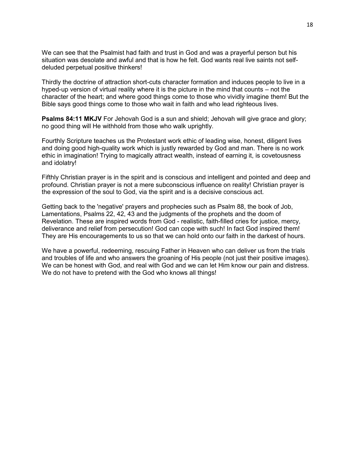We can see that the Psalmist had faith and trust in God and was a prayerful person but his situation was desolate and awful and that is how he felt. God wants real live saints not selfdeluded perpetual positive thinkers!

Thirdly the doctrine of attraction short-cuts character formation and induces people to live in a hyped-up version of virtual reality where it is the picture in the mind that counts – not the character of the heart; and where good things come to those who vividly imagine them! But the Bible says good things come to those who wait in faith and who lead righteous lives.

**Psalms 84:11 MKJV** For Jehovah God is a sun and shield; Jehovah will give grace and glory; no good thing will He withhold from those who walk uprightly.

Fourthly Scripture teaches us the Protestant work ethic of leading wise, honest, diligent lives and doing good high-quality work which is justly rewarded by God and man. There is no work ethic in imagination! Trying to magically attract wealth, instead of earning it, is covetousness and idolatry!

Fifthly Christian prayer is in the spirit and is conscious and intelligent and pointed and deep and profound. Christian prayer is not a mere subconscious influence on reality! Christian prayer is the expression of the soul to God, via the spirit and is a decisive conscious act.

Getting back to the 'negative' prayers and prophecies such as Psalm 88, the book of Job, Lamentations, Psalms 22, 42, 43 and the judgments of the prophets and the doom of Revelation. These are inspired words from God - realistic, faith-filled cries for justice, mercy, deliverance and relief from persecution! God can cope with such! In fact God inspired them! They are His encouragements to us so that we can hold onto our faith in the darkest of hours.

We have a powerful, redeeming, rescuing Father in Heaven who can deliver us from the trials and troubles of life and who answers the groaning of His people (not just their positive images). We can be honest with God, and real with God and we can let Him know our pain and distress. We do not have to pretend with the God who knows all things!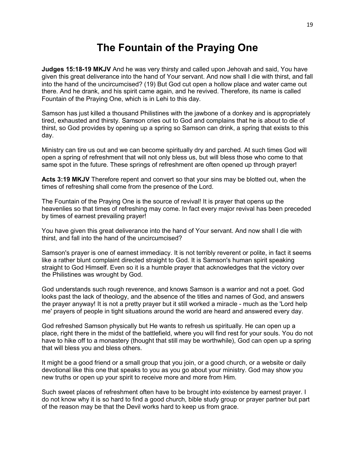# **The Fountain of the Praying One**

**Judges 15:18-19 MKJV** And he was very thirsty and called upon Jehovah and said, You have given this great deliverance into the hand of Your servant. And now shall I die with thirst, and fall into the hand of the uncircumcised? (19) But God cut open a hollow place and water came out there. And he drank, and his spirit came again, and he revived. Therefore, its name is called Fountain of the Praying One, which is in Lehi to this day.

Samson has just killed a thousand Philistines with the jawbone of a donkey and is appropriately tired, exhausted and thirsty. Samson cries out to God and complains that he is about to die of thirst, so God provides by opening up a spring so Samson can drink, a spring that exists to this day.

Ministry can tire us out and we can become spiritually dry and parched. At such times God will open a spring of refreshment that will not only bless us, but will bless those who come to that same spot in the future. These springs of refreshment are often opened up through prayer!

**Acts 3:19 MKJV** Therefore repent and convert so that your sins may be blotted out, when the times of refreshing shall come from the presence of the Lord.

The Fountain of the Praying One is the source of revival! It is prayer that opens up the heavenlies so that times of refreshing may come. In fact every major revival has been preceded by times of earnest prevailing prayer!

You have given this great deliverance into the hand of Your servant. And now shall I die with thirst, and fall into the hand of the uncircumcised?

Samson's prayer is one of earnest immediacy. It is not terribly reverent or polite, in fact it seems like a rather blunt complaint directed straight to God. It is Samson's human spirit speaking straight to God Himself. Even so it is a humble prayer that acknowledges that the victory over the Philistines was wrought by God.

God understands such rough reverence, and knows Samson is a warrior and not a poet. God looks past the lack of theology, and the absence of the titles and names of God, and answers the prayer anyway! It is not a pretty prayer but it still worked a miracle - much as the 'Lord help me' prayers of people in tight situations around the world are heard and answered every day.

God refreshed Samson physically but He wants to refresh us spiritually. He can open up a place, right there in the midst of the battlefield, where you will find rest for your souls. You do not have to hike off to a monastery (thought that still may be worthwhile), God can open up a spring that will bless you and bless others.

It might be a good friend or a small group that you join, or a good church, or a website or daily devotional like this one that speaks to you as you go about your ministry. God may show you new truths or open up your spirit to receive more and more from Him.

Such sweet places of refreshment often have to be brought into existence by earnest prayer. I do not know why it is so hard to find a good church, bible study group or prayer partner but part of the reason may be that the Devil works hard to keep us from grace.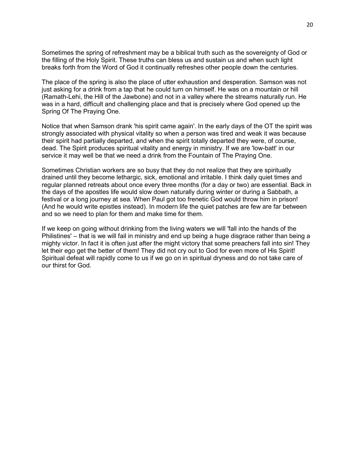Sometimes the spring of refreshment may be a biblical truth such as the sovereignty of God or the filling of the Holy Spirit. These truths can bless us and sustain us and when such light breaks forth from the Word of God it continually refreshes other people down the centuries.

The place of the spring is also the place of utter exhaustion and desperation. Samson was not just asking for a drink from a tap that he could turn on himself. He was on a mountain or hill (Ramath-Lehi, the Hill of the Jawbone) and not in a valley where the streams naturally run. He was in a hard, difficult and challenging place and that is precisely where God opened up the Spring Of The Praying One.

Notice that when Samson drank 'his spirit came again'. In the early days of the OT the spirit was strongly associated with physical vitality so when a person was tired and weak it was because their spirit had partially departed, and when the spirit totally departed they were, of course, dead. The Spirit produces spiritual vitality and energy in ministry. If we are 'low-batt' in our service it may well be that we need a drink from the Fountain of The Praying One.

Sometimes Christian workers are so busy that they do not realize that they are spiritually drained until they become lethargic, sick, emotional and irritable. I think daily quiet times and regular planned retreats about once every three months (for a day or two) are essential. Back in the days of the apostles life would slow down naturally during winter or during a Sabbath, a festival or a long journey at sea. When Paul got too frenetic God would throw him in prison! (And he would write epistles instead). In modern life the quiet patches are few are far between and so we need to plan for them and make time for them.

If we keep on going without drinking from the living waters we will 'fall into the hands of the Philistines' – that is we will fail in ministry and end up being a huge disgrace rather than being a mighty victor. In fact it is often just after the might victory that some preachers fall into sin! They let their ego get the better of them! They did not cry out to God for even more of His Spirit! Spiritual defeat will rapidly come to us if we go on in spiritual dryness and do not take care of our thirst for God.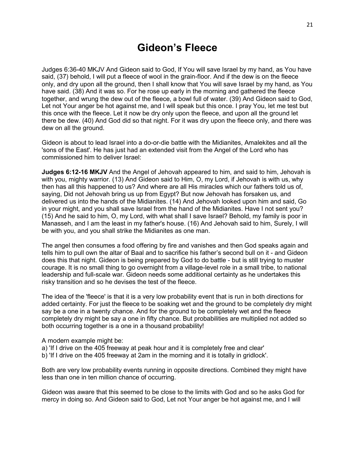# **Gideon's Fleece**

Judges 6:36-40 MKJV And Gideon said to God, If You will save Israel by my hand, as You have said, (37) behold, I will put a fleece of wool in the grain-floor. And if the dew is on the fleece only, and dry upon all the ground, then I shall know that You will save Israel by my hand, as You have said. (38) And it was so. For he rose up early in the morning and gathered the fleece together, and wrung the dew out of the fleece, a bowl full of water. (39) And Gideon said to God, Let not Your anger be hot against me, and I will speak but this once. I pray You, let me test but this once with the fleece. Let it now be dry only upon the fleece, and upon all the ground let there be dew. (40) And God did so that night. For it was dry upon the fleece only, and there was dew on all the ground.

Gideon is about to lead Israel into a do-or-die battle with the Midianites, Amalekites and all the 'sons of the East'. He has just had an extended visit from the Angel of the Lord who has commissioned him to deliver Israel:

**Judges 6:12-16 MKJV** And the Angel of Jehovah appeared to him, and said to him, Jehovah is with you, mighty warrior. (13) And Gideon said to Him, O, my Lord, if Jehovah is with us, why then has all this happened to us? And where are all His miracles which our fathers told us of, saying, Did not Jehovah bring us up from Egypt? But now Jehovah has forsaken us, and delivered us into the hands of the Midianites. (14) And Jehovah looked upon him and said, Go in your might, and you shall save Israel from the hand of the Midianites. Have I not sent you? (15) And he said to him, O, my Lord, with what shall I save Israel? Behold, my family is poor in Manasseh, and I am the least in my father's house. (16) And Jehovah said to him, Surely, I will be with you, and you shall strike the Midianites as one man.

The angel then consumes a food offering by fire and vanishes and then God speaks again and tells him to pull own the altar of Baal and to sacrifice his father's second bull on it - and Gideon does this that night. Gideon is being prepared by God to do battle - but is still trying to muster courage. It is no small thing to go overnight from a village-level role in a small tribe, to national leadership and full-scale war. Gideon needs some additional certainty as he undertakes this risky transition and so he devises the test of the fleece.

The idea of the 'fleece' is that it is a very low probability event that is run in both directions for added certainty. For just the fleece to be soaking wet and the ground to be completely dry might say be a one in a twenty chance. And for the ground to be completely wet and the fleece completely dry might be say a one in fifty chance. But probabilities are multiplied not added so both occurring together is a one in a thousand probability!

A modern example might be:

- a) 'If I drive on the 405 freeway at peak hour and it is completely free and clear'
- b) 'If I drive on the 405 freeway at 2am in the morning and it is totally in gridlock'.

Both are very low probability events running in opposite directions. Combined they might have less than one in ten million chance of occurring.

Gideon was aware that this seemed to be close to the limits with God and so he asks God for mercy in doing so. And Gideon said to God, Let not Your anger be hot against me, and I will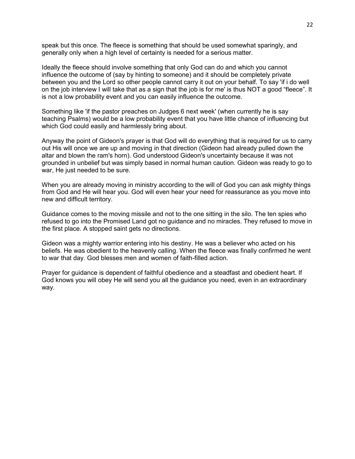speak but this once. The fleece is something that should be used somewhat sparingly, and generally only when a high level of certainty is needed for a serious matter.

Ideally the fleece should involve something that only God can do and which you cannot influence the outcome of (say by hinting to someone) and it should be completely private between you and the Lord so other people cannot carry it out on your behalf. To say 'if i do well on the job interview I will take that as a sign that the job is for me' is thus NOT a good "fleece". It is not a low probability event and you can easily influence the outcome.

Something like 'if the pastor preaches on Judges 6 next week' (when currently he is say teaching Psalms) would be a low probability event that you have little chance of influencing but which God could easily and harmlessly bring about.

Anyway the point of Gideon's prayer is that God will do everything that is required for us to carry out His will once we are up and moving in that direction (Gideon had already pulled down the altar and blown the ram's horn). God understood Gideon's uncertainty because it was not grounded in unbelief but was simply based in normal human caution. Gideon was ready to go to war, He just needed to be sure.

When you are already moving in ministry according to the will of God you can ask mighty things from God and He will hear you. God will even hear your need for reassurance as you move into new and difficult territory.

Guidance comes to the moving missile and not to the one sitting in the silo. The ten spies who refused to go into the Promised Land got no guidance and no miracles. They refused to move in the first place. A stopped saint gets no directions.

Gideon was a mighty warrior entering into his destiny. He was a believer who acted on his beliefs. He was obedient to the heavenly calling. When the fleece was finally confirmed he went to war that day. God blesses men and women of faith-filled action.

Prayer for guidance is dependent of faithful obedience and a steadfast and obedient heart. If God knows you will obey He will send you all the guidance you need, even in an extraordinary way.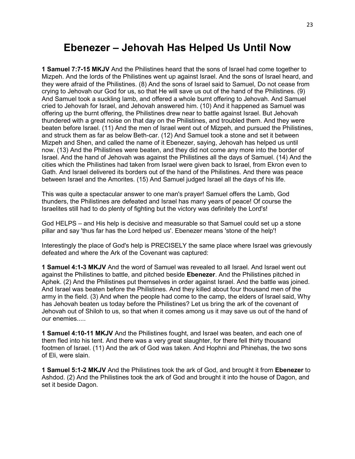#### **Ebenezer – Jehovah Has Helped Us Until Now**

**1 Samuel 7:7-15 MKJV** And the Philistines heard that the sons of Israel had come together to Mizpeh. And the lords of the Philistines went up against Israel. And the sons of Israel heard, and they were afraid of the Philistines. (8) And the sons of Israel said to Samuel, Do not cease from crying to Jehovah our God for us, so that He will save us out of the hand of the Philistines. (9) And Samuel took a suckling lamb, and offered a whole burnt offering to Jehovah. And Samuel cried to Jehovah for Israel, and Jehovah answered him. (10) And it happened as Samuel was offering up the burnt offering, the Philistines drew near to battle against Israel. But Jehovah thundered with a great noise on that day on the Philistines, and troubled them. And they were beaten before Israel. (11) And the men of Israel went out of Mizpeh, and pursued the Philistines, and struck them as far as below Beth-car. (12) And Samuel took a stone and set it between Mizpeh and Shen, and called the name of it Ebenezer, saying, Jehovah has helped us until now. (13) And the Philistines were beaten, and they did not come any more into the border of Israel. And the hand of Jehovah was against the Philistines all the days of Samuel. (14) And the cities which the Philistines had taken from Israel were given back to Israel, from Ekron even to Gath. And Israel delivered its borders out of the hand of the Philistines. And there was peace between Israel and the Amorites. (15) And Samuel judged Israel all the days of his life.

This was quite a spectacular answer to one man's prayer! Samuel offers the Lamb, God thunders, the Philistines are defeated and Israel has many years of peace! Of course the Israelites still had to do plenty of fighting but the victory was definitely the Lord's!

God HELPS – and His help is decisive and measurable so that Samuel could set up a stone pillar and say 'thus far has the Lord helped us'. Ebenezer means 'stone of the help'!

Interestingly the place of God's help is PRECISELY the same place where Israel was grievously defeated and where the Ark of the Covenant was captured:

**1 Samuel 4:1-3 MKJV** And the word of Samuel was revealed to all Israel. And Israel went out against the Philistines to battle, and pitched beside **Ebenezer**. And the Philistines pitched in Aphek. (2) And the Philistines put themselves in order against Israel. And the battle was joined. And Israel was beaten before the Philistines. And they killed about four thousand men of the army in the field. (3) And when the people had come to the camp, the elders of Israel said, Why has Jehovah beaten us today before the Philistines? Let us bring the ark of the covenant of Jehovah out of Shiloh to us, so that when it comes among us it may save us out of the hand of our enemies.....

**1 Samuel 4:10-11 MKJV** And the Philistines fought, and Israel was beaten, and each one of them fled into his tent. And there was a very great slaughter, for there fell thirty thousand footmen of Israel. (11) And the ark of God was taken. And Hophni and Phinehas, the two sons of Eli, were slain.

**1 Samuel 5:1-2 MKJV** And the Philistines took the ark of God, and brought it from **Ebenezer** to Ashdod. (2) And the Philistines took the ark of God and brought it into the house of Dagon, and set it beside Dagon.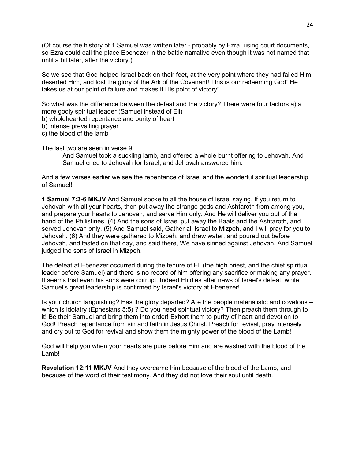(Of course the history of 1 Samuel was written later - probably by Ezra, using court documents, so Ezra could call the place Ebenezer in the battle narrative even though it was not named that until a bit later, after the victory.)

So we see that God helped Israel back on their feet, at the very point where they had failed Him, deserted Him, and lost the glory of the Ark of the Covenant! This is our redeeming God! He takes us at our point of failure and makes it His point of victory!

So what was the difference between the defeat and the victory? There were four factors a) a more godly spiritual leader (Samuel instead of Eli)

b) wholehearted repentance and purity of heart

b) intense prevailing prayer

c) the blood of the lamb

The last two are seen in verse 9:

And Samuel took a suckling lamb, and offered a whole burnt offering to Jehovah. And Samuel cried to Jehovah for Israel, and Jehovah answered him.

And a few verses earlier we see the repentance of Israel and the wonderful spiritual leadership of Samuel!

**1 Samuel 7:3-6 MKJV** And Samuel spoke to all the house of Israel saying, If you return to Jehovah with all your hearts, then put away the strange gods and Ashtaroth from among you, and prepare your hearts to Jehovah, and serve Him only. And He will deliver you out of the hand of the Philistines. (4) And the sons of Israel put away the Baals and the Ashtaroth, and served Jehovah only. (5) And Samuel said, Gather all Israel to Mizpeh, and I will pray for you to Jehovah. (6) And they were gathered to Mizpeh, and drew water, and poured out before Jehovah, and fasted on that day, and said there, We have sinned against Jehovah. And Samuel judged the sons of Israel in Mizpeh.

The defeat at Ebenezer occurred during the tenure of Eli (the high priest, and the chief spiritual leader before Samuel) and there is no record of him offering any sacrifice or making any prayer. It seems that even his sons were corrupt. Indeed Eli dies after news of Israel's defeat, while Samuel's great leadership is confirmed by Israel's victory at Ebenezer!

Is your church languishing? Has the glory departed? Are the people materialistic and covetous – which is idolatry (Ephesians 5:5) ? Do you need spiritual victory? Then preach them through to it! Be their Samuel and bring them into order! Exhort them to purity of heart and devotion to God! Preach repentance from sin and faith in Jesus Christ. Preach for revival, pray intensely and cry out to God for revival and show them the mighty power of the blood of the Lamb!

God will help you when your hearts are pure before Him and are washed with the blood of the Lamb!

**Revelation 12:11 MKJV** And they overcame him because of the blood of the Lamb, and because of the word of their testimony. And they did not love their soul until death.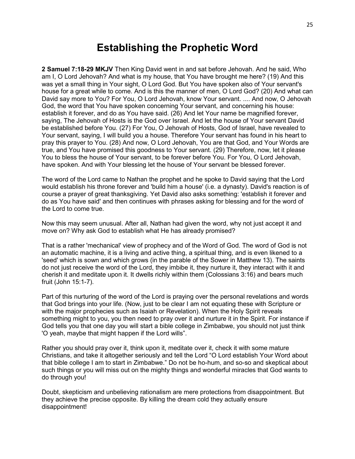#### **Establishing the Prophetic Word**

**2 Samuel 7:18-29 MKJV** Then King David went in and sat before Jehovah. And he said, Who am I, O Lord Jehovah? And what is my house, that You have brought me here? (19) And this was yet a small thing in Your sight, O Lord God. But You have spoken also of Your servant's house for a great while to come. And is this the manner of men, O Lord God? (20) And what can David say more to You? For You, O Lord Jehovah, know Your servant. .... And now, O Jehovah God, the word that You have spoken concerning Your servant, and concerning his house: establish it forever, and do as You have said. (26) And let Your name be magnified forever, saying, The Jehovah of Hosts is the God over Israel. And let the house of Your servant David be established before You. (27) For You, O Jehovah of Hosts, God of Israel, have revealed to Your servant, saying, I will build you a house. Therefore Your servant has found in his heart to pray this prayer to You. (28) And now, O Lord Jehovah, You are that God, and Your Words are true, and You have promised this goodness to Your servant. (29) Therefore, now, let it please You to bless the house of Your servant, to be forever before You. For You, O Lord Jehovah, have spoken. And with Your blessing let the house of Your servant be blessed forever.

The word of the Lord came to Nathan the prophet and he spoke to David saying that the Lord would establish his throne forever and 'build him a house' (i.e. a dynasty). David's reaction is of course a prayer of great thanksgiving. Yet David also asks something: 'establish it forever and do as You have said' and then continues with phrases asking for blessing and for the word of the Lord to come true.

Now this may seem unusual. After all, Nathan had given the word, why not just accept it and move on? Why ask God to establish what He has already promised?

That is a rather 'mechanical' view of prophecy and of the Word of God. The word of God is not an automatic machine, it is a living and active thing, a spiritual thing, and is even likened to a 'seed' which is sown and which grows (in the parable of the Sower in Matthew 13). The saints do not just receive the word of the Lord, they imbibe it, they nurture it, they interact with it and cherish it and meditate upon it. It dwells richly within them (Colossians 3:16) and bears much fruit (John 15:1-7).

Part of this nurturing of the word of the Lord is praying over the personal revelations and words that God brings into your life. (Now, just to be clear I am not equating these with Scripture or with the major prophecies such as Isaiah or Revelation). When the Holy Spirit reveals something might to you, you then need to pray over it and nurture it in the Spirit. For instance if God tells you that one day you will start a bible college in Zimbabwe, you should not just think 'O yeah, maybe that might happen if the Lord wills".

Rather you should pray over it, think upon it, meditate over it, check it with some mature Christians, and take it altogether seriously and tell the Lord "O Lord establish Your Word about that bible college I am to start in Zimbabwe." Do not be ho-hum, and so-so and skeptical about such things or you will miss out on the mighty things and wonderful miracles that God wants to do through you!

Doubt, skepticism and unbelieving rationalism are mere protections from disappointment. But they achieve the precise opposite. By killing the dream cold they actually ensure disappointment!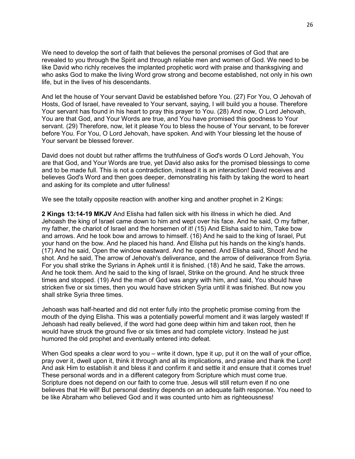We need to develop the sort of faith that believes the personal promises of God that are revealed to you through the Spirit and through reliable men and women of God. We need to be like David who richly receives the implanted prophetic word with praise and thanksgiving and who asks God to make the living Word grow strong and become established, not only in his own life, but in the lives of his descendants.

And let the house of Your servant David be established before You. (27) For You, O Jehovah of Hosts, God of Israel, have revealed to Your servant, saying, I will build you a house. Therefore Your servant has found in his heart to pray this prayer to You. (28) And now, O Lord Jehovah, You are that God, and Your Words are true, and You have promised this goodness to Your servant. (29) Therefore, now, let it please You to bless the house of Your servant, to be forever before You. For You, O Lord Jehovah, have spoken. And with Your blessing let the house of Your servant be blessed forever.

David does not doubt but rather affirms the truthfulness of God's words O Lord Jehovah, You are that God, and Your Words are true, yet David also asks for the promised blessings to come and to be made full. This is not a contradiction, instead it is an interaction! David receives and believes God's Word and then goes deeper, demonstrating his faith by taking the word to heart and asking for its complete and utter fullness!

We see the totally opposite reaction with another king and another prophet in 2 Kings:

**2 Kings 13:14-19 MKJV** And Elisha had fallen sick with his illness in which he died. And Jehoash the king of Israel came down to him and wept over his face. And he said, O my father, my father, the chariot of Israel and the horsemen of it! (15) And Elisha said to him, Take bow and arrows. And he took bow and arrows to himself. (16) And he said to the king of Israel, Put your hand on the bow. And he placed his hand. And Elisha put his hands on the king's hands. (17) And he said, Open the window eastward. And he opened. And Elisha said, Shoot! And he shot. And he said, The arrow of Jehovah's deliverance, and the arrow of deliverance from Syria. For you shall strike the Syrians in Aphek until it is finished. (18) And he said, Take the arrows. And he took them. And he said to the king of Israel, Strike on the ground. And he struck three times and stopped. (19) And the man of God was angry with him, and said, You should have stricken five or six times, then you would have stricken Syria until it was finished. But now you shall strike Syria three times.

Jehoash was half-hearted and did not enter fully into the prophetic promise coming from the mouth of the dying Elisha. This was a potentially powerful moment and it was largely wasted! If Jehoash had really believed, if the word had gone deep within him and taken root, then he would have struck the ground five or six times and had complete victory. Instead he just humored the old prophet and eventually entered into defeat.

When God speaks a clear word to you – write it down, type it up, put it on the wall of your office, pray over it, dwell upon it, think it through and all its implications, and praise and thank the Lord! And ask Him to establish it and bless it and confirm it and settle it and ensure that it comes true! These personal words and in a different category from Scripture which must come true. Scripture does not depend on our faith to come true. Jesus will still return even if no one believes that He will! But personal destiny depends on an adequate faith response. You need to be like Abraham who believed God and it was counted unto him as righteousness!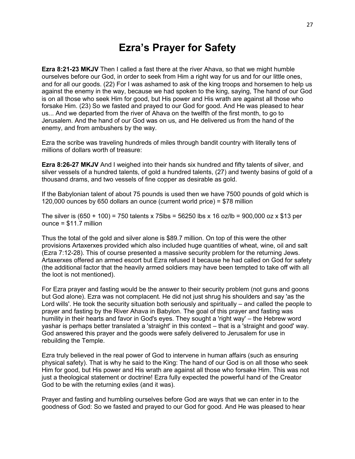# **Ezra's Prayer for Safety**

**Ezra 8:21-23 MKJV** Then I called a fast there at the river Ahava, so that we might humble ourselves before our God, in order to seek from Him a right way for us and for our little ones, and for all our goods. (22) For I was ashamed to ask of the king troops and horsemen to help us against the enemy in the way, because we had spoken to the king, saying, The hand of our God is on all those who seek Him for good, but His power and His wrath are against all those who forsake Him. (23) So we fasted and prayed to our God for good. And He was pleased to hear us... And we departed from the river of Ahava on the twelfth of the first month, to go to Jerusalem. And the hand of our God was on us, and He delivered us from the hand of the enemy, and from ambushers by the way.

Ezra the scribe was traveling hundreds of miles through bandit country with literally tens of millions of dollars worth of treasure:

**Ezra 8:26-27 MKJV** And I weighed into their hands six hundred and fifty talents of silver, and silver vessels of a hundred talents, of gold a hundred talents, (27) and twenty basins of gold of a thousand drams, and two vessels of fine copper as desirable as gold.

If the Babylonian talent of about 75 pounds is used then we have 7500 pounds of gold which is 120,000 ounces by 650 dollars an ounce (current world price) = \$78 million

The silver is (650 + 100) = 750 talents x 75lbs = 56250 lbs x 16 oz/lb = 900,000 oz x \$13 per ounce = \$11.7 million

Thus the total of the gold and silver alone is \$89.7 million. On top of this were the other provisions Artaxerxes provided which also included huge quantities of wheat, wine, oil and salt (Ezra 7:12-28). This of course presented a massive security problem for the returning Jews. Artaxerxes offered an armed escort but Ezra refused it because he had called on God for safety (the additional factor that the heavily armed soldiers may have been tempted to take off with all the loot is not mentioned).

For Ezra prayer and fasting would be the answer to their security problem (not guns and goons but God alone). Ezra was not complacent. He did not just shrug his shoulders and say 'as the Lord wills'. He took the security situation both seriously and spiritually – and called the people to prayer and fasting by the River Ahava in Babylon. The goal of this prayer and fasting was humility in their hearts and favor in God's eyes. They sought a 'right way' – the Hebrew word yashar is perhaps better translated a 'straight' in this context – that is a 'straight and good' way. God answered this prayer and the goods were safely delivered to Jerusalem for use in rebuilding the Temple.

Ezra truly believed in the real power of God to intervene in human affairs (such as ensuring physical safety). That is why he said to the King: The hand of our God is on all those who seek Him for good, but His power and His wrath are against all those who forsake Him. This was not just a theological statement or doctrine! Ezra fully expected the powerful hand of the Creator God to be with the returning exiles (and it was).

Prayer and fasting and humbling ourselves before God are ways that we can enter in to the goodness of God: So we fasted and prayed to our God for good. And He was pleased to hear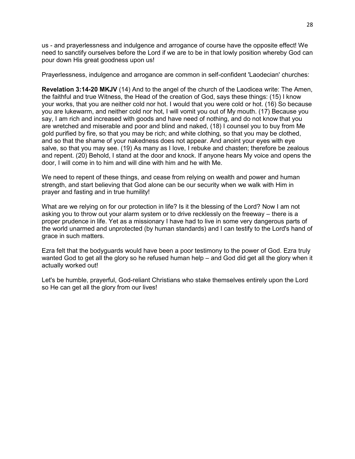us - and prayerlessness and indulgence and arrogance of course have the opposite effect! We need to sanctify ourselves before the Lord if we are to be in that lowly position whereby God can pour down His great goodness upon us!

Prayerlessness, indulgence and arrogance are common in self-confident 'Laodecian' churches:

**Revelation 3:14-20 MKJV** (14) And to the angel of the church of the Laodicea write: The Amen, the faithful and true Witness, the Head of the creation of God, says these things: (15) I know your works, that you are neither cold nor hot. I would that you were cold or hot. (16) So because you are lukewarm, and neither cold nor hot, I will vomit you out of My mouth. (17) Because you say, I am rich and increased with goods and have need of nothing, and do not know that you are wretched and miserable and poor and blind and naked, (18) I counsel you to buy from Me gold purified by fire, so that you may be rich; and white clothing, so that you may be clothed, and so that the shame of your nakedness does not appear. And anoint your eyes with eye salve, so that you may see. (19) As many as I love, I rebuke and chasten; therefore be zealous and repent. (20) Behold, I stand at the door and knock. If anyone hears My voice and opens the door, I will come in to him and will dine with him and he with Me.

We need to repent of these things, and cease from relying on wealth and power and human strength, and start believing that God alone can be our security when we walk with Him in prayer and fasting and in true humility!

What are we relying on for our protection in life? Is it the blessing of the Lord? Now I am not asking you to throw out your alarm system or to drive recklessly on the freeway – there is a proper prudence in life. Yet as a missionary I have had to live in some very dangerous parts of the world unarmed and unprotected (by human standards) and I can testify to the Lord's hand of grace in such matters.

Ezra felt that the bodyguards would have been a poor testimony to the power of God. Ezra truly wanted God to get all the glory so he refused human help – and God did get all the glory when it actually worked out!

Let's be humble, prayerful, God-reliant Christians who stake themselves entirely upon the Lord so He can get all the glory from our lives!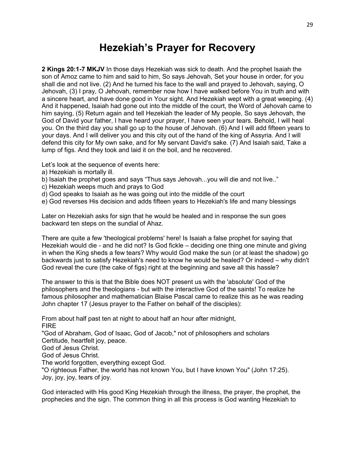# **Hezekiah's Prayer for Recovery**

**2 Kings 20:1-7 MKJV** In those days Hezekiah was sick to death. And the prophet Isaiah the son of Amoz came to him and said to him, So says Jehovah, Set your house in order, for you shall die and not live. (2) And he turned his face to the wall and prayed to Jehovah, saying, O Jehovah, (3) I pray, O Jehovah, remember now how I have walked before You in truth and with a sincere heart, and have done good in Your sight. And Hezekiah wept with a great weeping. (4) And it happened, Isaiah had gone out into the middle of the court, the Word of Jehovah came to him saying, (5) Return again and tell Hezekiah the leader of My people, So says Jehovah, the God of David your father, I have heard your prayer, I have seen your tears. Behold, I will heal you. On the third day you shall go up to the house of Jehovah. (6) And I will add fifteen years to your days. And I will deliver you and this city out of the hand of the king of Assyria. And I will defend this city for My own sake, and for My servant David's sake. (7) And Isaiah said, Take a lump of figs. And they took and laid it on the boil, and he recovered.

Let's look at the sequence of events here:

- a) Hezekiah is mortally ill.
- b) Isaiah the prophet goes and says "Thus says Jehovah...you will die and not live.."
- c) Hezekiah weeps much and prays to God
- d) God speaks to Isaiah as he was going out into the middle of the court
- e) God reverses His decision and adds fifteen years to Hezekiah's life and many blessings

Later on Hezekiah asks for sign that he would be healed and in response the sun goes backward ten steps on the sundial of Ahaz.

There are quite a few 'theological problems' here! Is Isaiah a false prophet for saying that Hezekiah would die - and he did not? Is God fickle – deciding one thing one minute and giving in when the King sheds a few tears? Why would God make the sun (or at least the shadow) go backwards just to satisfy Hezekiah's need to know he would be healed? Or indeed – why didn't God reveal the cure (the cake of figs) right at the beginning and save all this hassle?

The answer to this is that the Bible does NOT present us with the 'absolute' God of the philosophers and the theologians - but with the interactive God of the saints! To realize he famous philosopher and mathematician Blaise Pascal came to realize this as he was reading John chapter 17 (Jesus prayer to the Father on behalf of the disciples):

From about half past ten at night to about half an hour after midnight, FIRE "God of Abraham, God of Isaac, God of Jacob," not of philosophers and scholars Certitude, heartfelt joy, peace. God of Jesus Christ. God of Jesus Christ. The world forgotten, everything except God. "O righteous Father, the world has not known You, but I have known You" (John 17:25). Joy, joy, joy, tears of joy.

God interacted with His good King Hezekiah through the illness, the prayer, the prophet, the prophecies and the sign. The common thing in all this process is God wanting Hezekiah to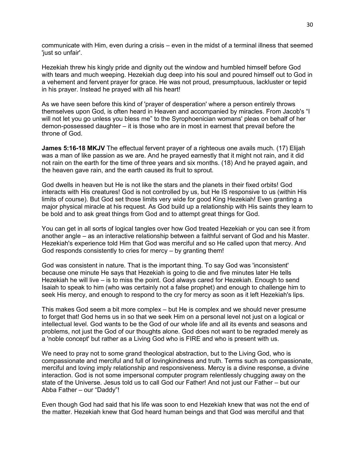communicate with Him, even during a crisis – even in the midst of a terminal illness that seemed 'just so unfair'.

Hezekiah threw his kingly pride and dignity out the window and humbled himself before God with tears and much weeping. Hezekiah dug deep into his soul and poured himself out to God in a vehement and fervent prayer for grace. He was not proud, presumptuous, lackluster or tepid in his prayer. Instead he prayed with all his heart!

As we have seen before this kind of 'prayer of desperation' where a person entirely throws themselves upon God, is often heard in Heaven and accompanied by miracles. From Jacob's "I will not let you go unless you bless me" to the Syrophoenician womans' pleas on behalf of her demon-possessed daughter – it is those who are in most in earnest that prevail before the throne of God.

**James 5:16-18 MKJV** The effectual fervent prayer of a righteous one avails much. (17) Elijah was a man of like passion as we are. And he prayed earnestly that it might not rain, and it did not rain on the earth for the time of three years and six months. (18) And he prayed again, and the heaven gave rain, and the earth caused its fruit to sprout.

God dwells in heaven but He is not like the stars and the planets in their fixed orbits! God interacts with His creatures! God is not controlled by us, but He IS responsive to us (within His limits of course). But God set those limits very wide for good King Hezekiah! Even granting a major physical miracle at his request. As God build up a relationship with His saints they learn to be bold and to ask great things from God and to attempt great things for God.

You can get in all sorts of logical tangles over how God treated Hezekiah or you can see it from another angle – as an interactive relationship between a faithful servant of God and his Master. Hezekiah's experience told Him that God was merciful and so He called upon that mercy. And God responds consistently to cries for mercy – by granting them!

God was consistent in nature. That is the important thing. To say God was 'inconsistent' because one minute He says that Hezekiah is going to die and five minutes later He tells Hezekiah he will live – is to miss the point. God always cared for Hezekiah. Enough to send Isaiah to speak to him (who was certainly not a false prophet) and enough to challenge him to seek His mercy, and enough to respond to the cry for mercy as soon as it left Hezekiah's lips.

This makes God seem a bit more complex – but He is complex and we should never presume to forget that! God hems us in so that we seek Him on a personal level not just on a logical or intellectual level. God wants to be the God of our whole life and all its events and seasons and problems, not just the God of our thoughts alone. God does not want to be regraded merely as a 'noble concept' but rather as a Living God who is FIRE and who is present with us.

We need to pray not to some grand theological abstraction, but to the Living God, who is compassionate and merciful and full of lovingkindness and truth. Terms such as compassionate, merciful and loving imply relationship and responsiveness. Mercy is a divine response, a divine interaction. God is not some impersonal computer program relentlessly chugging away on the state of the Universe. Jesus told us to call God our Father! And not just our Father – but our Abba Father – our "Daddy"!

Even though God had said that his life was soon to end Hezekiah knew that was not the end of the matter. Hezekiah knew that God heard human beings and that God was merciful and that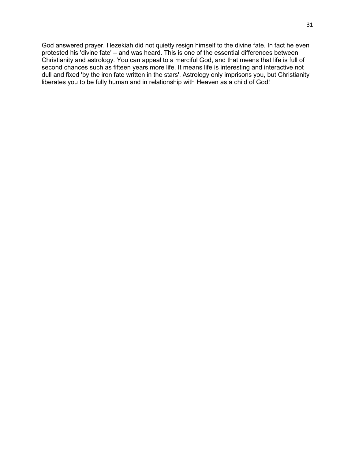God answered prayer. Hezekiah did not quietly resign himself to the divine fate. In fact he even protested his 'divine fate' – and was heard. This is one of the essential differences between Christianity and astrology. You can appeal to a merciful God, and that means that life is full of second chances such as fifteen years more life. It means life is interesting and interactive not dull and fixed 'by the iron fate written in the stars'. Astrology only imprisons you, but Christianity liberates you to be fully human and in relationship with Heaven as a child of God!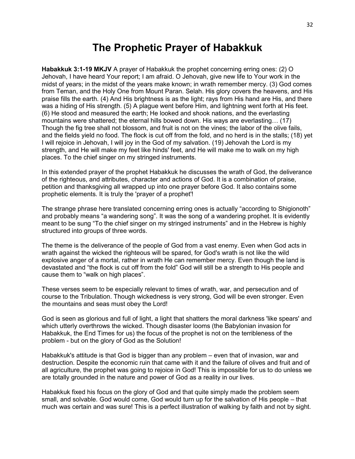#### **The Prophetic Prayer of Habakkuk**

**Habakkuk 3:1-19 MKJV** A prayer of Habakkuk the prophet concerning erring ones: (2) O Jehovah, I have heard Your report; I am afraid. O Jehovah, give new life to Your work in the midst of years; in the midst of the years make known; in wrath remember mercy. (3) God comes from Teman, and the Holy One from Mount Paran. Selah. His glory covers the heavens, and His praise fills the earth. (4) And His brightness is as the light; rays from His hand are His, and there was a hiding of His strength. (5) A plague went before Him, and lightning went forth at His feet. (6) He stood and measured the earth; He looked and shook nations, and the everlasting mountains were shattered; the eternal hills bowed down. His ways are everlasting… (17) Though the fig tree shall not blossom, and fruit is not on the vines; the labor of the olive fails, and the fields yield no food. The flock is cut off from the fold, and no herd is in the stalls; (18) yet I will rejoice in Jehovah, I will joy in the God of my salvation. (19) Jehovah the Lord is my strength, and He will make my feet like hinds' feet, and He will make me to walk on my high places. To the chief singer on my stringed instruments.

In this extended prayer of the prophet Habakkuk he discusses the wrath of God, the deliverance of the righteous, and attributes, character and actions of God. It is a combination of praise, petition and thanksgiving all wrapped up into one prayer before God. It also contains some prophetic elements. It is truly the 'prayer of a prophet'!

The strange phrase here translated concerning erring ones is actually "according to Shigionoth" and probably means "a wandering song". It was the song of a wandering prophet. It is evidently meant to be sung "To the chief singer on my stringed instruments" and in the Hebrew is highly structured into groups of three words.

The theme is the deliverance of the people of God from a vast enemy. Even when God acts in wrath against the wicked the righteous will be spared, for God's wrath is not like the wild explosive anger of a mortal, rather in wrath He can remember mercy. Even though the land is devastated and "the flock is cut off from the fold" God will still be a strength to His people and cause them to "walk on high places".

These verses seem to be especially relevant to times of wrath, war, and persecution and of course to the Tribulation. Though wickedness is very strong, God will be even stronger. Even the mountains and seas must obey the Lord!

God is seen as glorious and full of light, a light that shatters the moral darkness 'like spears' and which utterly overthrows the wicked. Though disaster looms (the Babylonian invasion for Habakkuk, the End Times for us) the focus of the prophet is not on the terribleness of the problem - but on the glory of God as the Solution!

Habakkuk's attitude is that God is bigger than any problem – even that of invasion, war and destruction. Despite the economic ruin that came with it and the failure of olives and fruit and of all agriculture, the prophet was going to rejoice in God! This is impossible for us to do unless we are totally grounded in the nature and power of God as a reality in our lives.

Habakkuk fixed his focus on the glory of God and that quite simply made the problem seem small, and solvable. God would come, God would turn up for the salvation of His people – that much was certain and was sure! This is a perfect illustration of walking by faith and not by sight.